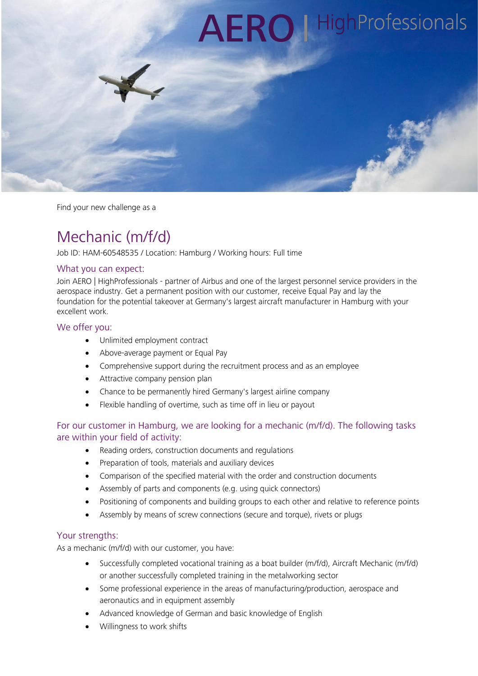

Find your new challenge as a

# Mechanic (m/f/d)

Job ID: HAM-60548535 / Location: Hamburg / Working hours: Full time

# What you can expect:

Join AERO | HighProfessionals - partner of Airbus and one of the largest personnel service providers in the aerospace industry. Get a permanent position with our customer, receive Equal Pay and lay the foundation for the potential takeover at Germany's largest aircraft manufacturer in Hamburg with your excellent work.

#### We offer you:

- Unlimited employment contract
- Above-average payment or Equal Pay
- Comprehensive support during the recruitment process and as an employee
- Attractive company pension plan
- Chance to be permanently hired Germany's largest airline company
- Flexible handling of overtime, such as time off in lieu or payout

# For our customer in Hamburg, we are looking for a mechanic (m/f/d). The following tasks are within your field of activity:

- Reading orders, construction documents and regulations
- Preparation of tools, materials and auxiliary devices
- Comparison of the specified material with the order and construction documents
- Assembly of parts and components (e.g. using quick connectors)
- Positioning of components and building groups to each other and relative to reference points
- Assembly by means of screw connections (secure and torque), rivets or plugs

#### Your strengths:

As a mechanic (m/f/d) with our customer, you have:

- Successfully completed vocational training as a boat builder (m/f/d), Aircraft Mechanic (m/f/d) or another successfully completed training in the metalworking sector
- Some professional experience in the areas of manufacturing/production, aerospace and aeronautics and in equipment assembly
- Advanced knowledge of German and basic knowledge of English
- Willingness to work shifts